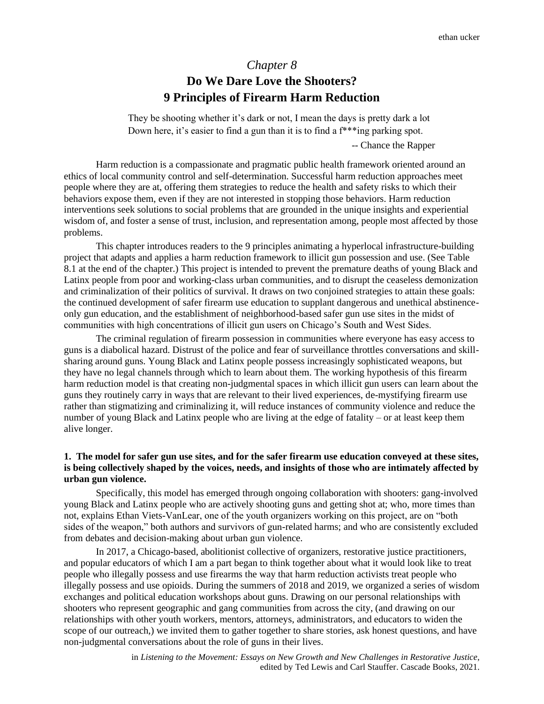# *Chapter 8* **Do We Dare Love the Shooters? 9 Principles of Firearm Harm Reduction**

They be shooting whether it's dark or not, I mean the days is pretty dark a lot Down here, it's easier to find a gun than it is to find a f\*\*\*ing parking spot.

-- Chance the Rapper

Harm reduction is a compassionate and pragmatic public health framework oriented around an ethics of local community control and self-determination. Successful harm reduction approaches meet people where they are at, offering them strategies to reduce the health and safety risks to which their behaviors expose them, even if they are not interested in stopping those behaviors. Harm reduction interventions seek solutions to social problems that are grounded in the unique insights and experiential wisdom of, and foster a sense of trust, inclusion, and representation among, people most affected by those problems.

This chapter introduces readers to the 9 principles animating a hyperlocal infrastructure-building project that adapts and applies a harm reduction framework to illicit gun possession and use. (See Table 8.1 at the end of the chapter.) This project is intended to prevent the premature deaths of young Black and Latinx people from poor and working-class urban communities, and to disrupt the ceaseless demonization and criminalization of their politics of survival. It draws on two conjoined strategies to attain these goals: the continued development of safer firearm use education to supplant dangerous and unethical abstinenceonly gun education, and the establishment of neighborhood-based safer gun use sites in the midst of communities with high concentrations of illicit gun users on Chicago's South and West Sides.

The criminal regulation of firearm possession in communities where everyone has easy access to guns is a diabolical hazard. Distrust of the police and fear of surveillance throttles conversations and skillsharing around guns. Young Black and Latinx people possess increasingly sophisticated weapons, but they have no legal channels through which to learn about them. The working hypothesis of this firearm harm reduction model is that creating non-judgmental spaces in which illicit gun users can learn about the guns they routinely carry in ways that are relevant to their lived experiences, de-mystifying firearm use rather than stigmatizing and criminalizing it, will reduce instances of community violence and reduce the number of young Black and Latinx people who are living at the edge of fatality – or at least keep them alive longer.

## **1. The model for safer gun use sites, and for the safer firearm use education conveyed at these sites, is being collectively shaped by the voices, needs, and insights of those who are intimately affected by urban gun violence.**

Specifically, this model has emerged through ongoing collaboration with shooters: gang-involved young Black and Latinx people who are actively shooting guns and getting shot at; who, more times than not, explains Ethan Viets-VanLear, one of the youth organizers working on this project, are on "both sides of the weapon," both authors and survivors of gun-related harms; and who are consistently excluded from debates and decision-making about urban gun violence.

In 2017, a Chicago-based, abolitionist collective of organizers, restorative justice practitioners, and popular educators of which I am a part began to think together about what it would look like to treat people who illegally possess and use firearms the way that harm reduction activists treat people who illegally possess and use opioids. During the summers of 2018 and 2019, we organized a series of wisdom exchanges and political education workshops about guns. Drawing on our personal relationships with shooters who represent geographic and gang communities from across the city, (and drawing on our relationships with other youth workers, mentors, attorneys, administrators, and educators to widen the scope of our outreach,) we invited them to gather together to share stories, ask honest questions, and have non-judgmental conversations about the role of guns in their lives.

> in *Listening to the Movement: Essays on New Growth and New Challenges in Restorative Justice*, edited by Ted Lewis and Carl Stauffer. Cascade Books, 2021.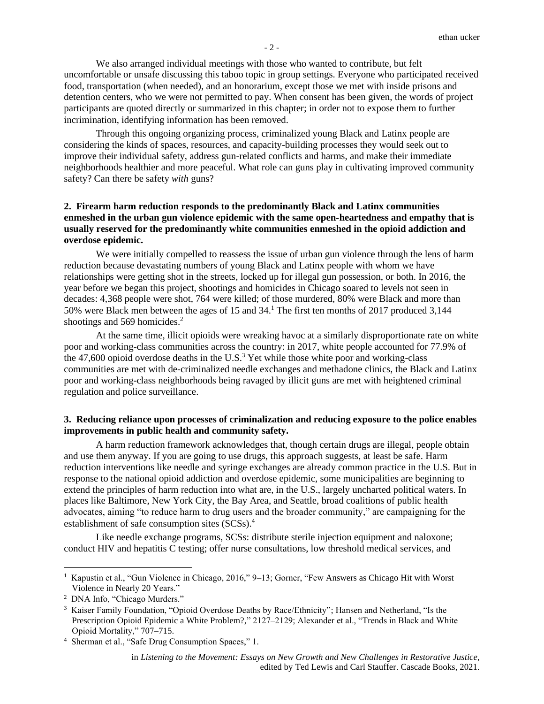Through this ongoing organizing process, criminalized young Black and Latinx people are considering the kinds of spaces, resources, and capacity-building processes they would seek out to improve their individual safety, address gun-related conflicts and harms, and make their immediate neighborhoods healthier and more peaceful. What role can guns play in cultivating improved community safety? Can there be safety *with* guns?

#### **2. Firearm harm reduction responds to the predominantly Black and Latinx communities enmeshed in the urban gun violence epidemic with the same open-heartedness and empathy that is usually reserved for the predominantly white communities enmeshed in the opioid addiction and overdose epidemic.**

We were initially compelled to reassess the issue of urban gun violence through the lens of harm reduction because devastating numbers of young Black and Latinx people with whom we have relationships were getting shot in the streets, locked up for illegal gun possession, or both. In 2016, the year before we began this project, shootings and homicides in Chicago soared to levels not seen in decades: 4,368 people were shot, 764 were killed; of those murdered, 80% were Black and more than 50% were Black men between the ages of 15 and 34.<sup>1</sup> The first ten months of 2017 produced 3,144 shootings and 569 homicides.<sup>2</sup>

At the same time, illicit opioids were wreaking havoc at a similarly disproportionate rate on white poor and working-class communities across the country: in 2017, white people accounted for 77.9% of the  $47,600$  opioid overdose deaths in the U.S.<sup>3</sup> Yet while those white poor and working-class communities are met with de-criminalized needle exchanges and methadone clinics, the Black and Latinx poor and working-class neighborhoods being ravaged by illicit guns are met with heightened criminal regulation and police surveillance.

#### **3. Reducing reliance upon processes of criminalization and reducing exposure to the police enables improvements in public health and community safety.**

A harm reduction framework acknowledges that, though certain drugs are illegal, people obtain and use them anyway. If you are going to use drugs, this approach suggests, at least be safe. Harm reduction interventions like needle and syringe exchanges are already common practice in the U.S. But in response to the national opioid addiction and overdose epidemic, some municipalities are beginning to extend the principles of harm reduction into what are, in the U.S., largely uncharted political waters. In places like Baltimore, New York City, the Bay Area, and Seattle, broad coalitions of public health advocates, aiming "to reduce harm to drug users and the broader community," are campaigning for the establishment of safe consumption sites (SCSs).<sup>4</sup>

Like needle exchange programs, SCSs: distribute sterile injection equipment and naloxone; conduct HIV and hepatitis C testing; offer nurse consultations, low threshold medical services, and

<sup>&</sup>lt;sup>1</sup> Kapustin et al., "Gun Violence in Chicago, 2016," 9–13; Gorner, "Few Answers as Chicago Hit with Worst Violence in Nearly 20 Years."

<sup>&</sup>lt;sup>2</sup> DNA Info, "Chicago Murders."

<sup>3</sup> Kaiser Family Foundation, "Opioid Overdose Deaths by Race/Ethnicity"; Hansen and Netherland, "Is the Prescription Opioid Epidemic a White Problem?," 2127–2129; Alexander et al., "Trends in Black and White Opioid Mortality," 707–715.

<sup>4</sup> Sherman et al., "Safe Drug Consumption Spaces," 1.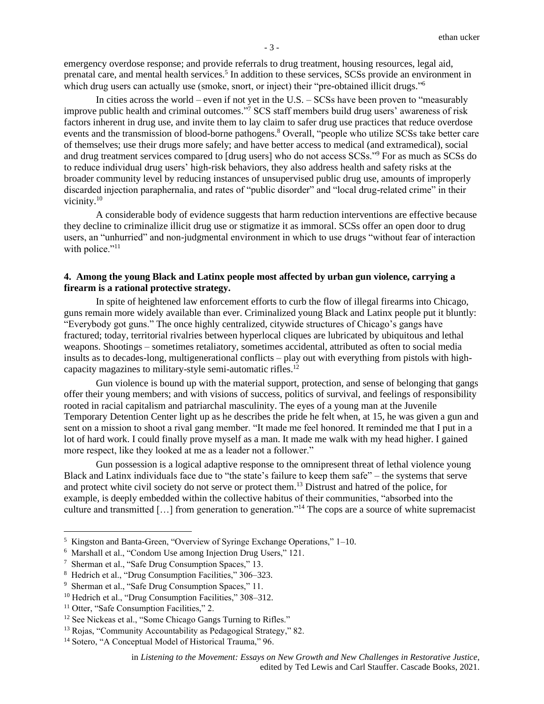emergency overdose response; and provide referrals to drug treatment, housing resources, legal aid, prenatal care, and mental health services.<sup>5</sup> In addition to these services, SCSs provide an environment in which drug users can actually use (smoke, snort, or inject) their "pre-obtained illicit drugs."<sup>6</sup>

In cities across the world – even if not yet in the U.S. – SCSs have been proven to "measurably improve public health and criminal outcomes." <sup>7</sup> SCS staff members build drug users' awareness of risk factors inherent in drug use, and invite them to lay claim to safer drug use practices that reduce overdose events and the transmission of blood-borne pathogens.<sup>8</sup> Overall, "people who utilize SCSs take better care of themselves; use their drugs more safely; and have better access to medical (and extramedical), social and drug treatment services compared to [drug users] who do not access SCSs."<sup>9</sup> For as much as SCSs do to reduce individual drug users' high-risk behaviors, they also address health and safety risks at the broader community level by reducing instances of unsupervised public drug use, amounts of improperly discarded injection paraphernalia, and rates of "public disorder" and "local drug-related crime" in their vicinity.<sup>10</sup>

A considerable body of evidence suggests that harm reduction interventions are effective because they decline to criminalize illicit drug use or stigmatize it as immoral. SCSs offer an open door to drug users, an "unhurried" and non-judgmental environment in which to use drugs "without fear of interaction with police."<sup>11</sup>

### **4. Among the young Black and Latinx people most affected by urban gun violence, carrying a firearm is a rational protective strategy.**

In spite of heightened law enforcement efforts to curb the flow of illegal firearms into Chicago, guns remain more widely available than ever. Criminalized young Black and Latinx people put it bluntly: "Everybody got guns." The once highly centralized, citywide structures of Chicago's gangs have fractured; today, territorial rivalries between hyperlocal cliques are lubricated by ubiquitous and lethal weapons. Shootings – sometimes retaliatory, sometimes accidental, attributed as often to social media insults as to decades-long, multigenerational conflicts – play out with everything from pistols with highcapacity magazines to military-style semi-automatic rifles.<sup>12</sup>

Gun violence is bound up with the material support, protection, and sense of belonging that gangs offer their young members; and with visions of success, politics of survival, and feelings of responsibility rooted in racial capitalism and patriarchal masculinity. The eyes of a young man at the Juvenile Temporary Detention Center light up as he describes the pride he felt when, at 15, he was given a gun and sent on a mission to shoot a rival gang member. "It made me feel honored. It reminded me that I put in a lot of hard work. I could finally prove myself as a man. It made me walk with my head higher. I gained more respect, like they looked at me as a leader not a follower."

Gun possession is a logical adaptive response to the omnipresent threat of lethal violence young Black and Latinx individuals face due to "the state's failure to keep them safe" – the systems that serve and protect white civil society do not serve or protect them.<sup>13</sup> Distrust and hatred of the police, for example, is deeply embedded within the collective habitus of their communities, "absorbed into the culture and transmitted […] from generation to generation."<sup>14</sup> The cops are a source of white supremacist

<sup>5</sup> Kingston and Banta-Green, "Overview of Syringe Exchange Operations," 1–10.

<sup>6</sup> Marshall et al., "Condom Use among Injection Drug Users," 121.

<sup>&</sup>lt;sup>7</sup> Sherman et al., "Safe Drug Consumption Spaces," 13.

<sup>8</sup> Hedrich et al., "Drug Consumption Facilities," 306–323.

<sup>&</sup>lt;sup>9</sup> Sherman et al., "Safe Drug Consumption Spaces," 11.

<sup>&</sup>lt;sup>10</sup> Hedrich et al., "Drug Consumption Facilities," 308–312.

<sup>&</sup>lt;sup>11</sup> Otter, "Safe Consumption Facilities," 2.

<sup>&</sup>lt;sup>12</sup> See Nickeas et al., "Some Chicago Gangs Turning to Rifles."

<sup>13</sup> Rojas, "Community Accountability as Pedagogical Strategy," 82.

<sup>&</sup>lt;sup>14</sup> Sotero, "A Conceptual Model of Historical Trauma," 96.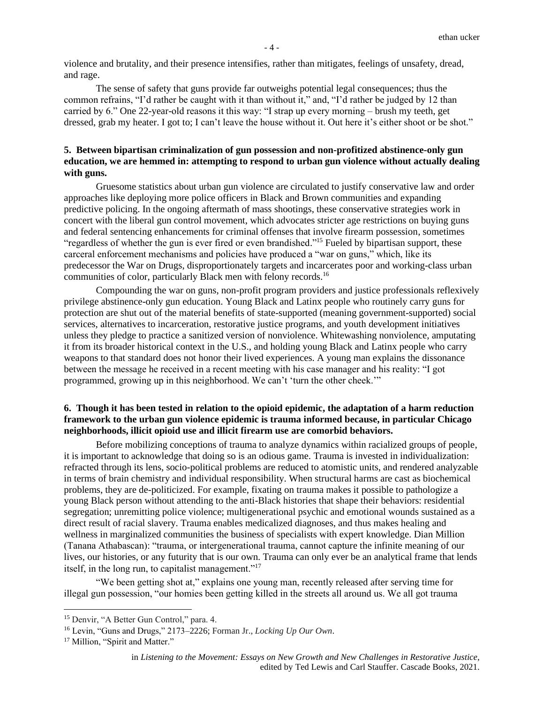violence and brutality, and their presence intensifies, rather than mitigates, feelings of unsafety, dread, and rage.

The sense of safety that guns provide far outweighs potential legal consequences; thus the common refrains, "I'd rather be caught with it than without it," and, "I'd rather be judged by 12 than carried by 6." One 22-year-old reasons it this way: "I strap up every morning – brush my teeth, get dressed, grab my heater. I got to; I can't leave the house without it. Out here it's either shoot or be shot."

## **5. Between bipartisan criminalization of gun possession and non-profitized abstinence-only gun education, we are hemmed in: attempting to respond to urban gun violence without actually dealing with guns.**

Gruesome statistics about urban gun violence are circulated to justify conservative law and order approaches like deploying more police officers in Black and Brown communities and expanding predictive policing. In the ongoing aftermath of mass shootings, these conservative strategies work in concert with the liberal gun control movement, which advocates stricter age restrictions on buying guns and federal sentencing enhancements for criminal offenses that involve firearm possession, sometimes "regardless of whether the gun is ever fired or even brandished."<sup>15</sup> Fueled by bipartisan support, these carceral enforcement mechanisms and policies have produced a "war on guns," which, like its predecessor the War on Drugs, disproportionately targets and incarcerates poor and working-class urban communities of color, particularly Black men with felony records.<sup>16</sup>

Compounding the war on guns, non-profit program providers and justice professionals reflexively privilege abstinence-only gun education. Young Black and Latinx people who routinely carry guns for protection are shut out of the material benefits of state-supported (meaning government-supported) social services, alternatives to incarceration, restorative justice programs, and youth development initiatives unless they pledge to practice a sanitized version of nonviolence. Whitewashing nonviolence, amputating it from its broader historical context in the U.S., and holding young Black and Latinx people who carry weapons to that standard does not honor their lived experiences. A young man explains the dissonance between the message he received in a recent meeting with his case manager and his reality: "I got programmed, growing up in this neighborhood. We can't 'turn the other cheek.'"

### **6. Though it has been tested in relation to the opioid epidemic, the adaptation of a harm reduction framework to the urban gun violence epidemic is trauma informed because, in particular Chicago neighborhoods, illicit opioid use and illicit firearm use are comorbid behaviors.**

Before mobilizing conceptions of trauma to analyze dynamics within racialized groups of people, it is important to acknowledge that doing so is an odious game. Trauma is invested in individualization: refracted through its lens, socio-political problems are reduced to atomistic units, and rendered analyzable in terms of brain chemistry and individual responsibility. When structural harms are cast as biochemical problems, they are de-politicized. For example, fixating on trauma makes it possible to pathologize a young Black person without attending to the anti-Black histories that shape their behaviors: residential segregation; unremitting police violence; multigenerational psychic and emotional wounds sustained as a direct result of racial slavery. Trauma enables medicalized diagnoses, and thus makes healing and wellness in marginalized communities the business of specialists with expert knowledge. Dian Million (Tanana Athabascan): "trauma, or intergenerational trauma, cannot capture the infinite meaning of our lives, our histories, or any futurity that is our own. Trauma can only ever be an analytical frame that lends itself, in the long run, to capitalist management."<sup>17</sup>

"We been getting shot at," explains one young man, recently released after serving time for illegal gun possession, "our homies been getting killed in the streets all around us. We all got trauma

<sup>15</sup> Denvir, "A Better Gun Control," para. 4.

<sup>16</sup> Levin, "Guns and Drugs," 2173–2226; Forman Jr., *Locking Up Our Own*.

<sup>&</sup>lt;sup>17</sup> Million, "Spirit and Matter."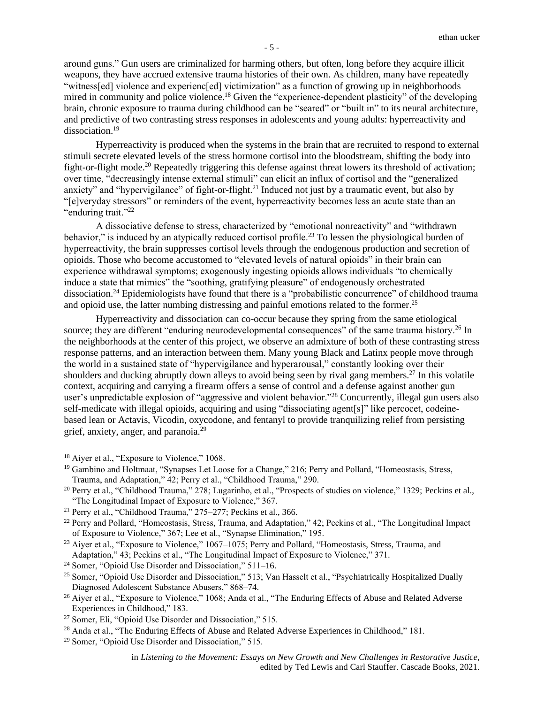around guns." Gun users are criminalized for harming others, but often, long before they acquire illicit weapons, they have accrued extensive trauma histories of their own. As children, many have repeatedly "witness[ed] violence and experienc[ed] victimization" as a function of growing up in neighborhoods mired in community and police violence.<sup>18</sup> Given the "experience-dependent plasticity" of the developing brain, chronic exposure to trauma during childhood can be "seared" or "built in" to its neural architecture, and predictive of two contrasting stress responses in adolescents and young adults: hyperreactivity and dissociation.<sup>19</sup>

Hyperreactivity is produced when the systems in the brain that are recruited to respond to external stimuli secrete elevated levels of the stress hormone cortisol into the bloodstream, shifting the body into fight-or-flight mode.<sup>20</sup> Repeatedly triggering this defense against threat lowers its threshold of activation; over time, "decreasingly intense external stimuli" can elicit an influx of cortisol and the "generalized anxiety" and "hypervigilance" of fight-or-flight.<sup>21</sup> Induced not just by a traumatic event, but also by "[e]veryday stressors" or reminders of the event, hyperreactivity becomes less an acute state than an "enduring trait."<sup>22</sup>

A dissociative defense to stress, characterized by "emotional nonreactivity" and "withdrawn behavior," is induced by an atypically reduced cortisol profile.<sup>23</sup> To lessen the physiological burden of hyperreactivity, the brain suppresses cortisol levels through the endogenous production and secretion of opioids. Those who become accustomed to "elevated levels of natural opioids" in their brain can experience withdrawal symptoms; exogenously ingesting opioids allows individuals "to chemically induce a state that mimics" the "soothing, gratifying pleasure" of endogenously orchestrated dissociation.<sup>24</sup> Epidemiologists have found that there is a "probabilistic concurrence" of childhood trauma and opioid use, the latter numbing distressing and painful emotions related to the former.<sup>25</sup>

Hyperreactivity and dissociation can co-occur because they spring from the same etiological source; they are different "enduring neurodevelopmental consequences" of the same trauma history.<sup>26</sup> In the neighborhoods at the center of this project, we observe an admixture of both of these contrasting stress response patterns, and an interaction between them. Many young Black and Latinx people move through the world in a sustained state of "hypervigilance and hyperarousal," constantly looking over their shoulders and ducking abruptly down alleys to avoid being seen by rival gang members.<sup>27</sup> In this volatile context, acquiring and carrying a firearm offers a sense of control and a defense against another gun user's unpredictable explosion of "aggressive and violent behavior."<sup>28</sup> Concurrently, illegal gun users also self-medicate with illegal opioids, acquiring and using "dissociating agent[s]" like percocet, codeinebased lean or Actavis, Vicodin, oxycodone, and fentanyl to provide tranquilizing relief from persisting grief, anxiety, anger, and paranoia.<sup>29</sup>

<sup>24</sup> Somer, "Opioid Use Disorder and Dissociation," 511–16.

<sup>&</sup>lt;sup>18</sup> Aiyer et al., "Exposure to Violence," 1068.

<sup>&</sup>lt;sup>19</sup> Gambino and Holtmaat, "Synapses Let Loose for a Change," 216; Perry and Pollard, "Homeostasis, Stress, Trauma, and Adaptation," 42; Perry et al., "Childhood Trauma," 290.

<sup>&</sup>lt;sup>20</sup> Perry et al., "Childhood Trauma," 278; Lugarinho, et al., "Prospects of studies on violence," 1329; Peckins et al., "The Longitudinal Impact of Exposure to Violence," 367.

<sup>21</sup> Perry et al., "Childhood Trauma," 275–277; Peckins et al., 366.

<sup>&</sup>lt;sup>22</sup> Perry and Pollard, "Homeostasis, Stress, Trauma, and Adaptation," 42; Peckins et al., "The Longitudinal Impact of Exposure to Violence," 367; Lee et al., "Synapse Elimination," 195.

<sup>&</sup>lt;sup>23</sup> Aiver et al., "Exposure to Violence," 1067–1075; Perry and Pollard, "Homeostasis, Stress, Trauma, and Adaptation," 43; Peckins et al., "The Longitudinal Impact of Exposure to Violence," 371.

<sup>&</sup>lt;sup>25</sup> Somer, "Opioid Use Disorder and Dissociation," 513; Van Hasselt et al., "Psychiatrically Hospitalized Dually Diagnosed Adolescent Substance Abusers," 868–74.

<sup>&</sup>lt;sup>26</sup> Aiyer et al., "Exposure to Violence," 1068; Anda et al., "The Enduring Effects of Abuse and Related Adverse Experiences in Childhood," 183.

<sup>27</sup> Somer, Eli, "Opioid Use Disorder and Dissociation," 515.

<sup>&</sup>lt;sup>28</sup> Anda et al., "The Enduring Effects of Abuse and Related Adverse Experiences in Childhood," 181.

<sup>29</sup> Somer, "Opioid Use Disorder and Dissociation," 515.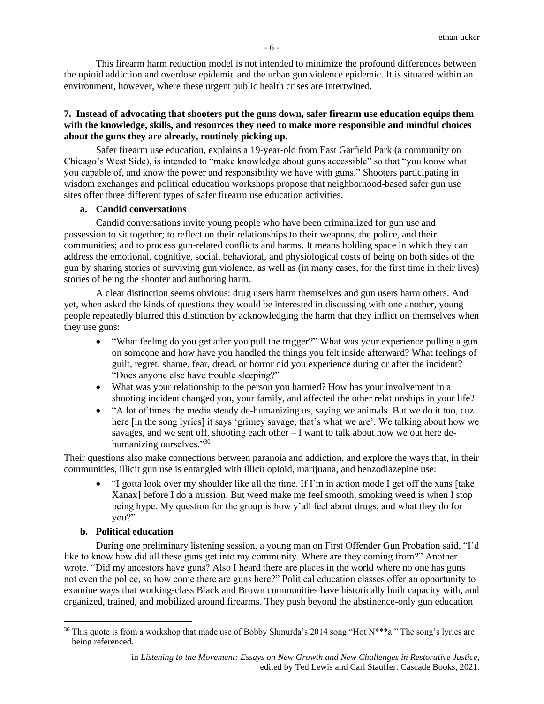This firearm harm reduction model is not intended to minimize the profound differences between the opioid addiction and overdose epidemic and the urban gun violence epidemic. It is situated within an environment, however, where these urgent public health crises are intertwined.

### **7. Instead of advocating that shooters put the guns down, safer firearm use education equips them with the knowledge, skills, and resources they need to make more responsible and mindful choices about the guns they are already, routinely picking up.**

Safer firearm use education, explains a 19-year-old from East Garfield Park (a community on Chicago's West Side), is intended to "make knowledge about guns accessible" so that "you know what you capable of, and know the power and responsibility we have with guns." Shooters participating in wisdom exchanges and political education workshops propose that neighborhood-based safer gun use sites offer three different types of safer firearm use education activities.

#### **a. Candid conversations**

Candid conversations invite young people who have been criminalized for gun use and possession to sit together; to reflect on their relationships to their weapons, the police, and their communities; and to process gun-related conflicts and harms. It means holding space in which they can address the emotional, cognitive, social, behavioral, and physiological costs of being on both sides of the gun by sharing stories of surviving gun violence, as well as (in many cases, for the first time in their lives) stories of being the shooter and authoring harm.

A clear distinction seems obvious: drug users harm themselves and gun users harm others. And yet, when asked the kinds of questions they would be interested in discussing with one another, young people repeatedly blurred this distinction by acknowledging the harm that they inflict on themselves when they use guns:

- "What feeling do you get after you pull the trigger?" What was your experience pulling a gun on someone and how have you handled the things you felt inside afterward? What feelings of guilt, regret, shame, fear, dread, or horror did you experience during or after the incident? "Does anyone else have trouble sleeping?"
- What was your relationship to the person you harmed? How has your involvement in a shooting incident changed you, your family, and affected the other relationships in your life?
- "A lot of times the media steady de-humanizing us, saying we animals. But we do it too, cuz here [in the song lyrics] it says 'grimey savage, that's what we are'. We talking about how we savages, and we sent off, shooting each other  $-I$  want to talk about how we out here dehumanizing ourselves."<sup>30</sup>

Their questions also make connections between paranoia and addiction, and explore the ways that, in their communities, illicit gun use is entangled with illicit opioid, marijuana, and benzodiazepine use:

• "I gotta look over my shoulder like all the time. If I'm in action mode I get off the xans [take Xanax] before I do a mission. But weed make me feel smooth, smoking weed is when I stop being hype. My question for the group is how y'all feel about drugs, and what they do for you?"

#### **b. Political education**

During one preliminary listening session, a young man on First Offender Gun Probation said, "I'd like to know how did all these guns get into my community. Where are they coming from?" Another wrote, "Did my ancestors have guns? Also I heard there are places in the world where no one has guns not even the police, so how come there are guns here?" Political education classes offer an opportunity to examine ways that working-class Black and Brown communities have historically built capacity with, and organized, trained, and mobilized around firearms. They push beyond the abstinence-only gun education

<sup>&</sup>lt;sup>30</sup> This quote is from a workshop that made use of Bobby Shmurda's 2014 song "Hot N\*\*\*a." The song's lyrics are being referenced.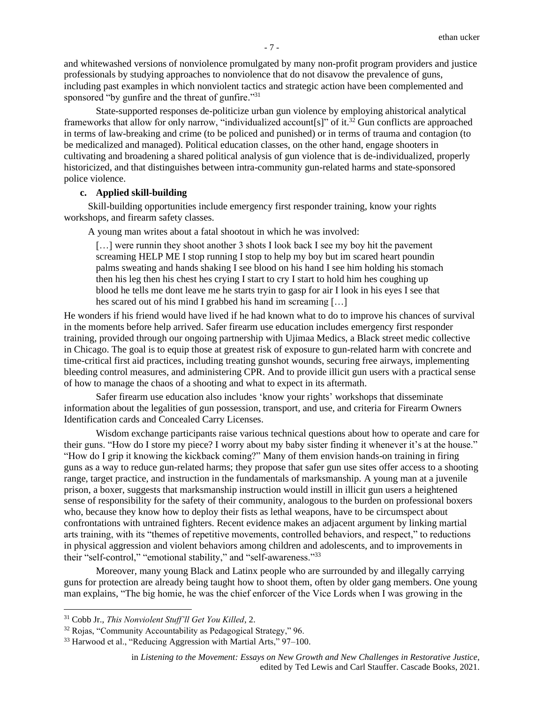and whitewashed versions of nonviolence promulgated by many non-profit program providers and justice professionals by studying approaches to nonviolence that do not disavow the prevalence of guns, including past examples in which nonviolent tactics and strategic action have been complemented and sponsored "by gunfire and the threat of gunfire."<sup>31</sup>

State-supported responses de-politicize urban gun violence by employing ahistorical analytical frameworks that allow for only narrow, "individualized account[s]" of it.<sup>32</sup> Gun conflicts are approached in terms of law-breaking and crime (to be policed and punished) or in terms of trauma and contagion (to be medicalized and managed). Political education classes, on the other hand, engage shooters in cultivating and broadening a shared political analysis of gun violence that is de-individualized, properly historicized, and that distinguishes between intra-community gun-related harms and state-sponsored police violence.

#### **c. Applied skill-building**

Skill-building opportunities include emergency first responder training, know your rights workshops, and firearm safety classes.

A young man writes about a fatal shootout in which he was involved:

[...] were runnin they shoot another 3 shots I look back I see my boy hit the pavement screaming HELP ME I stop running I stop to help my boy but im scared heart poundin palms sweating and hands shaking I see blood on his hand I see him holding his stomach then his leg then his chest hes crying I start to cry I start to hold him hes coughing up blood he tells me dont leave me he starts tryin to gasp for air I look in his eyes I see that hes scared out of his mind I grabbed his hand im screaming […]

He wonders if his friend would have lived if he had known what to do to improve his chances of survival in the moments before help arrived. Safer firearm use education includes emergency first responder training, provided through our ongoing partnership with Ujimaa Medics, a Black street medic collective in Chicago. The goal is to equip those at greatest risk of exposure to gun-related harm with concrete and time-critical first aid practices, including treating gunshot wounds, securing free airways, implementing bleeding control measures, and administering CPR. And to provide illicit gun users with a practical sense of how to manage the chaos of a shooting and what to expect in its aftermath.

Safer firearm use education also includes 'know your rights' workshops that disseminate information about the legalities of gun possession, transport, and use, and criteria for Firearm Owners Identification cards and Concealed Carry Licenses.

Wisdom exchange participants raise various technical questions about how to operate and care for their guns. "How do I store my piece? I worry about my baby sister finding it whenever it's at the house." "How do I grip it knowing the kickback coming?" Many of them envision hands-on training in firing guns as a way to reduce gun-related harms; they propose that safer gun use sites offer access to a shooting range, target practice, and instruction in the fundamentals of marksmanship. A young man at a juvenile prison, a boxer, suggests that marksmanship instruction would instill in illicit gun users a heightened sense of responsibility for the safety of their community, analogous to the burden on professional boxers who, because they know how to deploy their fists as lethal weapons, have to be circumspect about confrontations with untrained fighters. Recent evidence makes an adjacent argument by linking martial arts training, with its "themes of repetitive movements, controlled behaviors, and respect," to reductions in physical aggression and violent behaviors among children and adolescents, and to improvements in their "self-control," "emotional stability," and "self-awareness."<sup>33</sup>

Moreover, many young Black and Latinx people who are surrounded by and illegally carrying guns for protection are already being taught how to shoot them, often by older gang members. One young man explains, "The big homie, he was the chief enforcer of the Vice Lords when I was growing in the

<sup>31</sup> Cobb Jr., *This Nonviolent Stuff'll Get You Killed*, 2.

<sup>32</sup> Rojas, "Community Accountability as Pedagogical Strategy," 96.

<sup>33</sup> Harwood et al., "Reducing Aggression with Martial Arts," 97–100.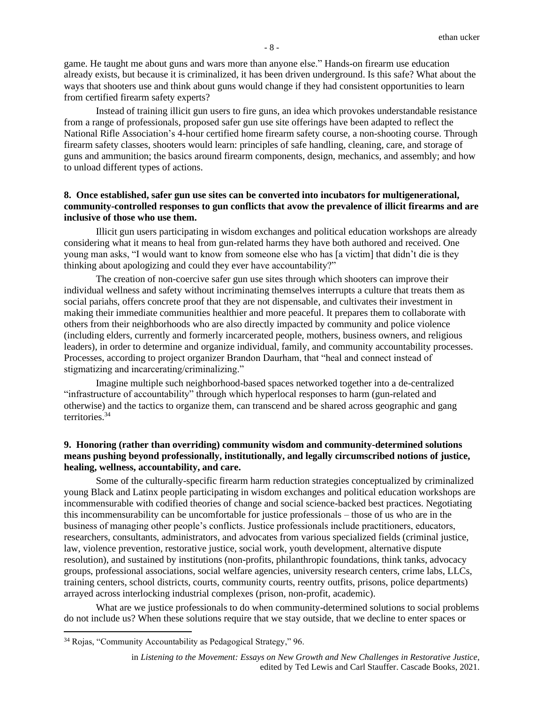game. He taught me about guns and wars more than anyone else." Hands-on firearm use education already exists, but because it is criminalized, it has been driven underground. Is this safe? What about the ways that shooters use and think about guns would change if they had consistent opportunities to learn from certified firearm safety experts?

Instead of training illicit gun users to fire guns, an idea which provokes understandable resistance from a range of professionals, proposed safer gun use site offerings have been adapted to reflect the National Rifle Association's 4-hour certified home firearm safety course, a non-shooting course. Through firearm safety classes, shooters would learn: principles of safe handling, cleaning, care, and storage of guns and ammunition; the basics around firearm components, design, mechanics, and assembly; and how to unload different types of actions.

## **8. Once established, safer gun use sites can be converted into incubators for multigenerational, community-controlled responses to gun conflicts that avow the prevalence of illicit firearms and are inclusive of those who use them.**

Illicit gun users participating in wisdom exchanges and political education workshops are already considering what it means to heal from gun-related harms they have both authored and received. One young man asks, "I would want to know from someone else who has [a victim] that didn't die is they thinking about apologizing and could they ever have accountability?"

The creation of non-coercive safer gun use sites through which shooters can improve their individual wellness and safety without incriminating themselves interrupts a culture that treats them as social pariahs, offers concrete proof that they are not dispensable, and cultivates their investment in making their immediate communities healthier and more peaceful. It prepares them to collaborate with others from their neighborhoods who are also directly impacted by community and police violence (including elders, currently and formerly incarcerated people, mothers, business owners, and religious leaders), in order to determine and organize individual, family, and community accountability processes. Processes, according to project organizer Brandon Daurham, that "heal and connect instead of stigmatizing and incarcerating/criminalizing."

Imagine multiple such neighborhood-based spaces networked together into a de-centralized "infrastructure of accountability" through which hyperlocal responses to harm (gun-related and otherwise) and the tactics to organize them, can transcend and be shared across geographic and gang territories.<sup>34</sup>

## **9. Honoring (rather than overriding) community wisdom and community-determined solutions means pushing beyond professionally, institutionally, and legally circumscribed notions of justice, healing, wellness, accountability, and care.**

Some of the culturally-specific firearm harm reduction strategies conceptualized by criminalized young Black and Latinx people participating in wisdom exchanges and political education workshops are incommensurable with codified theories of change and social science-backed best practices. Negotiating this incommensurability can be uncomfortable for justice professionals – those of us who are in the business of managing other people's conflicts. Justice professionals include practitioners, educators, researchers, consultants, administrators, and advocates from various specialized fields (criminal justice, law, violence prevention, restorative justice, social work, youth development, alternative dispute resolution), and sustained by institutions (non-profits, philanthropic foundations, think tanks, advocacy groups, professional associations, social welfare agencies, university research centers, crime labs, LLCs, training centers, school districts, courts, community courts, reentry outfits, prisons, police departments) arrayed across interlocking industrial complexes (prison, non-profit, academic).

What are we justice professionals to do when community-determined solutions to social problems do not include us? When these solutions require that we stay outside, that we decline to enter spaces or

<sup>34</sup> Rojas, "Community Accountability as Pedagogical Strategy," 96.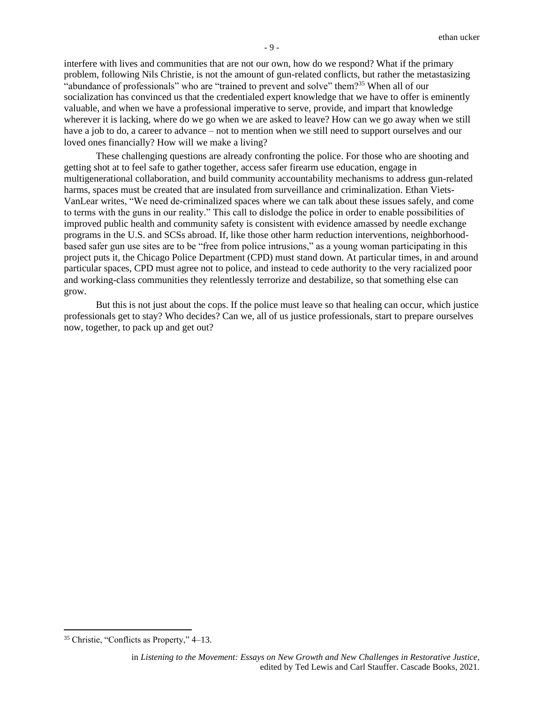interfere with lives and communities that are not our own, how do we respond? What if the primary problem, following Nils Christie, is not the amount of gun-related conflicts, but rather the metastasizing "abundance of professionals" who are "trained to prevent and solve" them?<sup>35</sup> When all of our socialization has convinced us that the credentialed expert knowledge that we have to offer is eminently valuable, and when we have a professional imperative to serve, provide, and impart that knowledge wherever it is lacking, where do we go when we are asked to leave? How can we go away when we still have a job to do, a career to advance – not to mention when we still need to support ourselves and our loved ones financially? How will we make a living?

These challenging questions are already confronting the police. For those who are shooting and getting shot at to feel safe to gather together, access safer firearm use education, engage in multigenerational collaboration, and build community accountability mechanisms to address gun-related harms, spaces must be created that are insulated from surveillance and criminalization. Ethan Viets-VanLear writes, "We need de-criminalized spaces where we can talk about these issues safely, and come to terms with the guns in our reality." This call to dislodge the police in order to enable possibilities of improved public health and community safety is consistent with evidence amassed by needle exchange programs in the U.S. and SCSs abroad. If, like those other harm reduction interventions, neighborhoodbased safer gun use sites are to be "free from police intrusions," as a young woman participating in this project puts it, the Chicago Police Department (CPD) must stand down. At particular times, in and around particular spaces, CPD must agree not to police, and instead to cede authority to the very racialized poor and working-class communities they relentlessly terrorize and destabilize, so that something else can grow.

But this is not just about the cops. If the police must leave so that healing can occur, which justice professionals get to stay? Who decides? Can we, all of us justice professionals, start to prepare ourselves now, together, to pack up and get out?

<sup>35</sup> Christie, "Conflicts as Property," 4–13.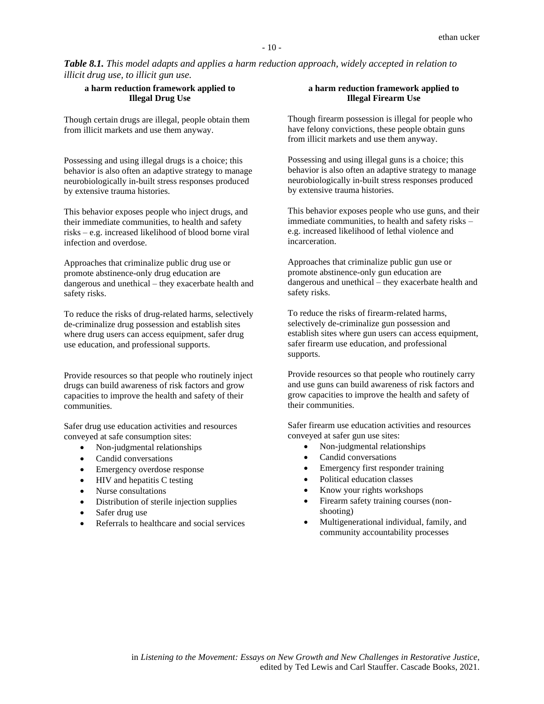*Table 8.1. This model adapts and applies a harm reduction approach, widely accepted in relation to illicit drug use, to illicit gun use.*

#### **a harm reduction framework applied to Illegal Drug Use**

Though certain drugs are illegal, people obtain them from illicit markets and use them anyway.

Possessing and using illegal drugs is a choice; this behavior is also often an adaptive strategy to manage neurobiologically in-built stress responses produced by extensive trauma histories.

This behavior exposes people who inject drugs, and their immediate communities, to health and safety risks – e.g. increased likelihood of blood borne viral infection and overdose.

Approaches that criminalize public drug use or promote abstinence-only drug education are dangerous and unethical – they exacerbate health and safety risks.

To reduce the risks of drug-related harms, selectively de-criminalize drug possession and establish sites where drug users can access equipment, safer drug use education, and professional supports.

Provide resources so that people who routinely inject drugs can build awareness of risk factors and grow capacities to improve the health and safety of their communities.

Safer drug use education activities and resources conveyed at safe consumption sites:

- Non-judgmental relationships
- Candid conversations
- Emergency overdose response
- HIV and hepatitis C testing
- Nurse consultations
- Distribution of sterile injection supplies
- Safer drug use
- Referrals to healthcare and social services

#### **a harm reduction framework applied to Illegal Firearm Use**

Though firearm possession is illegal for people who have felony convictions, these people obtain guns from illicit markets and use them anyway.

Possessing and using illegal guns is a choice; this behavior is also often an adaptive strategy to manage neurobiologically in-built stress responses produced by extensive trauma histories.

This behavior exposes people who use guns, and their immediate communities, to health and safety risks – e.g. increased likelihood of lethal violence and incarceration.

Approaches that criminalize public gun use or promote abstinence-only gun education are dangerous and unethical – they exacerbate health and safety risks.

To reduce the risks of firearm-related harms, selectively de-criminalize gun possession and establish sites where gun users can access equipment, safer firearm use education, and professional supports.

Provide resources so that people who routinely carry and use guns can build awareness of risk factors and grow capacities to improve the health and safety of their communities.

Safer firearm use education activities and resources conveyed at safer gun use sites:

- Non-judgmental relationships
- Candid conversations
- Emergency first responder training
- Political education classes
- Know your rights workshops
- Firearm safety training courses (nonshooting)
- Multigenerational individual, family, and community accountability processes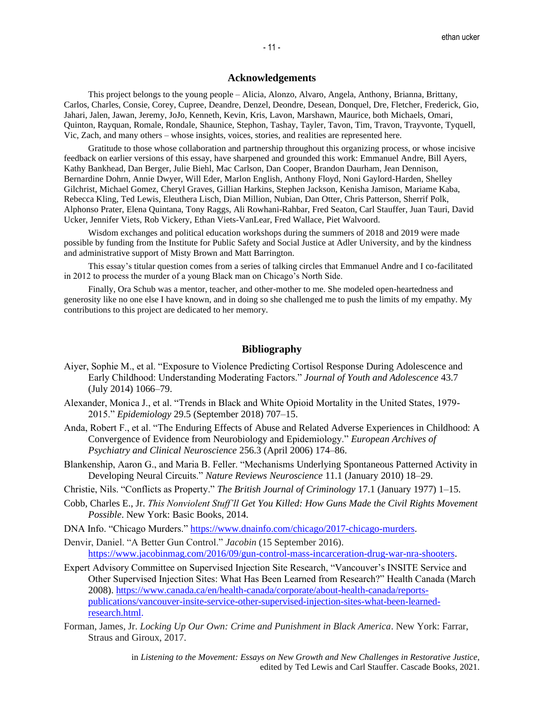## **Acknowledgements**

This project belongs to the young people – Alicia, Alonzo, Alvaro, Angela, Anthony, Brianna, Brittany, Carlos, Charles, Consie, Corey, Cupree, Deandre, Denzel, Deondre, Desean, Donquel, Dre, Fletcher, Frederick, Gio, Jahari, Jalen, Jawan, Jeremy, JoJo, Kenneth, Kevin, Kris, Lavon, Marshawn, Maurice, both Michaels, Omari, Quinton, Rayquan, Romale, Rondale, Shaunice, Stephon, Tashay, Tayler, Tavon, Tim, Travon, Trayvonte, Tyquell, Vic, Zach, and many others – whose insights, voices, stories, and realities are represented here.

Gratitude to those whose collaboration and partnership throughout this organizing process, or whose incisive feedback on earlier versions of this essay, have sharpened and grounded this work: Emmanuel Andre, Bill Ayers, Kathy Bankhead, Dan Berger, Julie Biehl, Mac Carlson, Dan Cooper, Brandon Daurham, Jean Dennison, Bernardine Dohrn, Annie Dwyer, Will Eder, Marlon English, Anthony Floyd, Noni Gaylord-Harden, Shelley Gilchrist, Michael Gomez, Cheryl Graves, Gillian Harkins, Stephen Jackson, Kenisha Jamison, Mariame Kaba, Rebecca Kling, Ted Lewis, Eleuthera Lisch, Dian Million, Nubian, Dan Otter, Chris Patterson, Sherrif Polk, Alphonso Prater, Elena Quintana, Tony Raggs, Ali Rowhani-Rahbar, Fred Seaton, Carl Stauffer, Juan Tauri, David Ucker, Jennifer Viets, Rob Vickery, Ethan Viets-VanLear, Fred Wallace, Piet Walvoord.

Wisdom exchanges and political education workshops during the summers of 2018 and 2019 were made possible by funding from the Institute for Public Safety and Social Justice at Adler University, and by the kindness and administrative support of Misty Brown and Matt Barrington.

This essay's titular question comes from a series of talking circles that Emmanuel Andre and I co-facilitated in 2012 to process the murder of a young Black man on Chicago's North Side.

Finally, Ora Schub was a mentor, teacher, and other-mother to me. She modeled open-heartedness and generosity like no one else I have known, and in doing so she challenged me to push the limits of my empathy. My contributions to this project are dedicated to her memory.

#### **Bibliography**

- Aiyer, Sophie M., et al. "Exposure to Violence Predicting Cortisol Response During Adolescence and Early Childhood: Understanding Moderating Factors." *Journal of Youth and Adolescence* 43.7 (July 2014) 1066–79.
- Alexander, Monica J., et al. "Trends in Black and White Opioid Mortality in the United States, 1979- 2015." *Epidemiology* 29.5 (September 2018) 707–15.
- Anda, Robert F., et al. "The Enduring Effects of Abuse and Related Adverse Experiences in Childhood: A Convergence of Evidence from Neurobiology and Epidemiology." *European Archives of Psychiatry and Clinical Neuroscience* 256.3 (April 2006) 174–86.
- Blankenship, Aaron G., and Maria B. Feller. "Mechanisms Underlying Spontaneous Patterned Activity in Developing Neural Circuits." *Nature Reviews Neuroscience* 11.1 (January 2010) 18–29.

Christie, Nils. "Conflicts as Property." *The British Journal of Criminology* 17.1 (January 1977) 1–15.

- Cobb, Charles E., Jr. *This Nonviolent Stuff'll Get You Killed: How Guns Made the Civil Rights Movement Possible*. New York: Basic Books, 2014.
- DNA Info. "Chicago Murders." [https://www.dnainfo.com/chicago/2017-chicago-murders.](https://www.dnainfo.com/chicago/2017-chicago-murders)
- Denvir, Daniel. "A Better Gun Control." *Jacobin* (15 September 2016). [https://www.jacobinmag.com/2016/09/gun-control-mass-incarceration-drug-war-nra-shooters.](https://www.jacobinmag.com/2016/09/gun-control-mass-incarceration-drug-war-nra-shooters)

Expert Advisory Committee on Supervised Injection Site Research, "Vancouver's INSITE Service and Other Supervised Injection Sites: What Has Been Learned from Research?" Health Canada (March 2008). [https://www.canada.ca/en/health-canada/corporate/about-health-canada/reports](https://www.canada.ca/en/health-canada/corporate/about-health-canada/reports-publications/vancouver-insite-service-other-supervised-injection-sites-what-been-learned-research.html)[publications/vancouver-insite-service-other-supervised-injection-sites-what-been-learned](https://www.canada.ca/en/health-canada/corporate/about-health-canada/reports-publications/vancouver-insite-service-other-supervised-injection-sites-what-been-learned-research.html)[research.html.](https://www.canada.ca/en/health-canada/corporate/about-health-canada/reports-publications/vancouver-insite-service-other-supervised-injection-sites-what-been-learned-research.html)

Forman, James, Jr. *Locking Up Our Own: Crime and Punishment in Black America*. New York: Farrar, Straus and Giroux, 2017.

> in *Listening to the Movement: Essays on New Growth and New Challenges in Restorative Justice*, edited by Ted Lewis and Carl Stauffer. Cascade Books, 2021.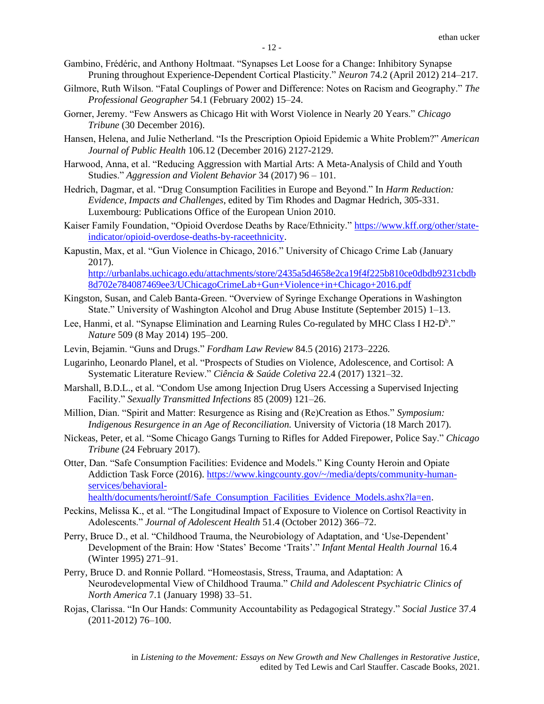- Gambino, Frédéric, and Anthony Holtmaat. "Synapses Let Loose for a Change: Inhibitory Synapse Pruning throughout Experience-Dependent Cortical Plasticity." *Neuron* 74.2 (April 2012) 214–217.
- Gilmore, Ruth Wilson. "Fatal Couplings of Power and Difference: Notes on Racism and Geography." *The Professional Geographer* 54.1 (February 2002) 15–24.
- Gorner, Jeremy. "Few Answers as Chicago Hit with Worst Violence in Nearly 20 Years." *Chicago Tribune* (30 December 2016).
- Hansen, Helena, and Julie Netherland. "Is the Prescription Opioid Epidemic a White Problem?" *American Journal of Public Health* 106.12 (December 2016) 2127-2129.
- Harwood, Anna, et al. "Reducing Aggression with Martial Arts: A Meta-Analysis of Child and Youth Studies." *Aggression and Violent Behavior* 34 (2017) 96 – 101.
- Hedrich, Dagmar, et al. "Drug Consumption Facilities in Europe and Beyond." In *Harm Reduction: Evidence, Impacts and Challenges*, edited by Tim Rhodes and Dagmar Hedrich, 305-331. Luxembourg: Publications Office of the European Union 2010.
- Kaiser Family Foundation, "Opioid Overdose Deaths by Race/Ethnicity." [https://www.kff.org/other/state](https://www.kff.org/other/state-indicator/opioid-overdose-deaths-by-raceethnicity)[indicator/opioid-overdose-deaths-by-raceethnicity.](https://www.kff.org/other/state-indicator/opioid-overdose-deaths-by-raceethnicity)
- Kapustin, Max, et al. "Gun Violence in Chicago, 2016." University of Chicago Crime Lab (January 2017).

[http://urbanlabs.uchicago.edu/attachments/store/2435a5d4658e2ca19f4f225b810ce0dbdb9231cbdb](http://urbanlabs.uchicago.edu/attachments/store/2435a5d4658e2ca19f4f225b810ce0dbdb9231cbdb8d702e784087469ee3/UChicagoCrimeLab+Gun+Violence+in+Chicago+2016.pdf) [8d702e784087469ee3/UChicagoCrimeLab+Gun+Violence+in+Chicago+2016.pdf](http://urbanlabs.uchicago.edu/attachments/store/2435a5d4658e2ca19f4f225b810ce0dbdb9231cbdb8d702e784087469ee3/UChicagoCrimeLab+Gun+Violence+in+Chicago+2016.pdf)

- Kingston, Susan, and Caleb Banta-Green. "Overview of Syringe Exchange Operations in Washington State." University of Washington Alcohol and Drug Abuse Institute (September 2015) 1–13.
- Lee, Hanmi, et al. "Synapse Elimination and Learning Rules Co-regulated by MHC Class I H2-D<sup>b</sup>." *Nature* 509 (8 May 2014) 195–200.
- Levin, Bejamin. "Guns and Drugs." *Fordham Law Review* 84.5 (2016) 2173–2226.
- Lugarinho, Leonardo Planel, et al. "Prospects of Studies on Violence, Adolescence, and Cortisol: A Systematic Literature Review." *Ciência & Saúde Coletiva* 22.4 (2017) 1321–32.
- Marshall, B.D.L., et al. "Condom Use among Injection Drug Users Accessing a Supervised Injecting Facility." *Sexually Transmitted Infections* 85 (2009) 121–26.
- Million, Dian. "Spirit and Matter: Resurgence as Rising and (Re)Creation as Ethos." *Symposium: Indigenous Resurgence in an Age of Reconciliation.* University of Victoria (18 March 2017).
- Nickeas, Peter, et al. "Some Chicago Gangs Turning to Rifles for Added Firepower, Police Say." *Chicago Tribune* (24 February 2017).
- Otter, Dan. "Safe Consumption Facilities: Evidence and Models." King County Heroin and Opiate Addiction Task Force (2016). [https://www.kingcounty.gov/~/media/depts/community-human](https://www.kingcounty.gov/~/media/depts/community-human-services/behavioral-health/documents/herointf/Safe_Consumption_Facilities_Evidence_Models.ashx?la=en)[services/behavioral-](https://www.kingcounty.gov/~/media/depts/community-human-services/behavioral-health/documents/herointf/Safe_Consumption_Facilities_Evidence_Models.ashx?la=en)

[health/documents/herointf/Safe\\_Consumption\\_Facilities\\_Evidence\\_Models.ashx?la=en.](https://www.kingcounty.gov/~/media/depts/community-human-services/behavioral-health/documents/herointf/Safe_Consumption_Facilities_Evidence_Models.ashx?la=en)

- Peckins, Melissa K., et al. "The Longitudinal Impact of Exposure to Violence on Cortisol Reactivity in Adolescents." *Journal of Adolescent Health* 51.4 (October 2012) 366–72.
- Perry, Bruce D., et al. "Childhood Trauma, the Neurobiology of Adaptation, and 'Use-Dependent' Development of the Brain: How 'States' Become 'Traits'." *Infant Mental Health Journal* 16.4 (Winter 1995) 271–91.
- Perry, Bruce D. and Ronnie Pollard. "Homeostasis, Stress, Trauma, and Adaptation: A Neurodevelopmental View of Childhood Trauma." *Child and Adolescent Psychiatric Clinics of North America* 7.1 (January 1998) 33–51.
- Rojas, Clarissa. "In Our Hands: Community Accountability as Pedagogical Strategy." *Social Justice* 37.4 (2011-2012) 76–100.